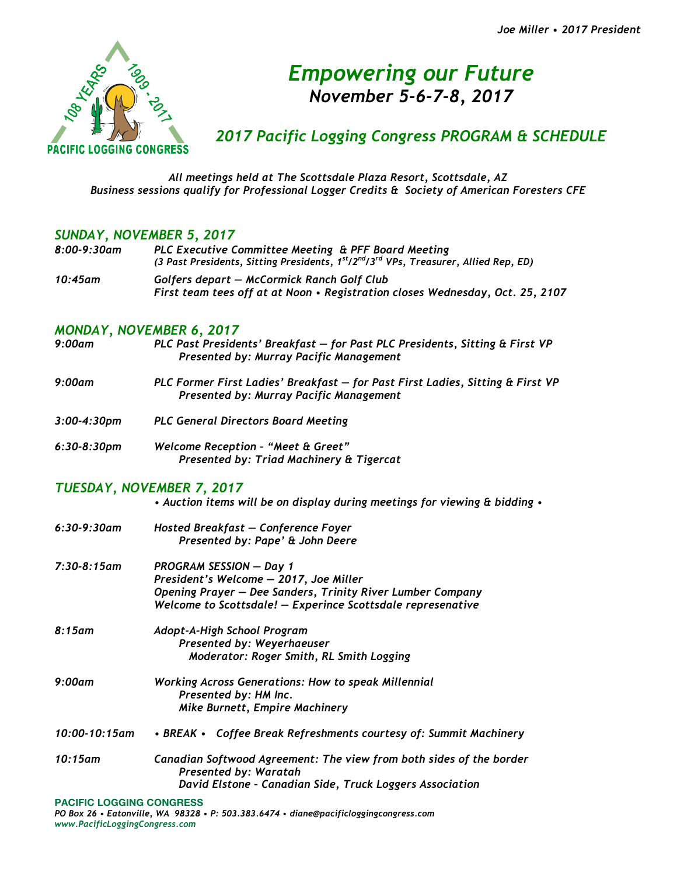

# *Empowering our Future November 5-6-7-8, 2017*

## *2017 Pacific Logging Congress PROGRAM & SCHEDULE*

*All meetings held at The Scottsdale Plaza Resort, Scottsdale, AZ Business sessions qualify for Professional Logger Credits & Society of American Foresters CFE*

#### *SUNDAY, NOVEMBER 5, 2017*

- *8:00-9:30am PLC Executive Committee Meeting & PFF Board Meeting (3 Past Presidents, Sitting Presidents, 1st/2nd/3rd VPs, Treasurer, Allied Rep, ED)*
- *10:45am Golfers depart — McCormick Ranch Golf Club First team tees off at at Noon • Registration closes Wednesday, Oct. 25, 2107*

#### *MONDAY, NOVEMBER 6, 2017*

- *9:00am PLC Past Presidents' Breakfast — for Past PLC Presidents, Sitting & First VP Presented by: Murray Pacific Management*
- *9:00am PLC Former First Ladies' Breakfast — for Past First Ladies, Sitting & First VP Presented by: Murray Pacific Management*
- *3:00-4:30pm PLC General Directors Board Meeting*
- *6:30-8:30pm Welcome Reception – "Meet & Greet" Presented by: Triad Machinery & Tigercat*

### *TUESDAY, NOVEMBER 7, 2017*

*• Auction items will be on display during meetings for viewing & bidding •*

| $6:30-9:30$ am                   | Hosted Breakfast - Conference Foyer<br>Presented by: Pape' & John Deere                      |
|----------------------------------|----------------------------------------------------------------------------------------------|
| $7:30-8:15am$                    | <b>PROGRAM SESSION - Day 1</b><br>President's Welcome - 2017, Joe Miller                     |
|                                  | Opening Prayer – Dee Sanders, Trinity River Lumber Company                                   |
|                                  | Welcome to Scottsdale! – Experince Scottsdale represenative                                  |
| $8:15$ am                        | Adopt-A-High School Program                                                                  |
|                                  | Presented by: Weyerhaeuser                                                                   |
|                                  | Moderator: Roger Smith, RL Smith Logging                                                     |
| 9:00am                           | Working Across Generations: How to speak Millennial<br>Presented by: HM Inc.                 |
|                                  | Mike Burnett, Empire Machinery                                                               |
| 10:00-10:15am                    | • BREAK • Coffee Break Refreshments courtesy of: Summit Machinery                            |
| $10:15$ am                       | Canadian Softwood Agreement: The view from both sides of the border<br>Presented by: Waratah |
|                                  | David Elstone - Canadian Side, Truck Loggers Association                                     |
| <b>DACIFIC LOCCINIC CONCRESS</b> |                                                                                              |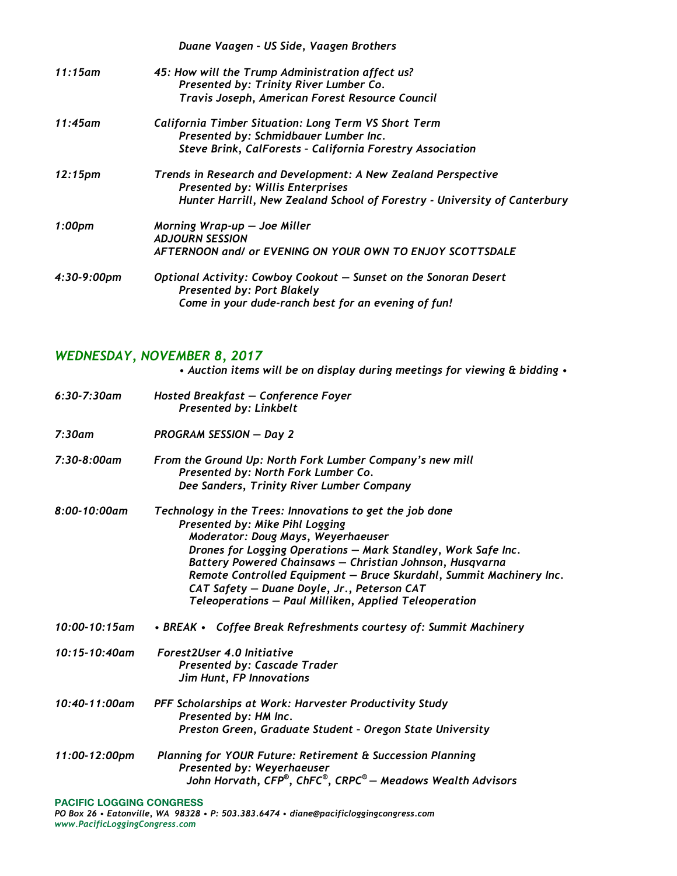|                     | Duane Vaagen - US Side, Vaagen Brothers                                                                  |
|---------------------|----------------------------------------------------------------------------------------------------------|
| $11:15$ am          | 45: How will the Trump Administration affect us?                                                         |
|                     | Presented by: Trinity River Lumber Co.                                                                   |
|                     | Travis Joseph, American Forest Resource Council                                                          |
| $11:45$ am          | California Timber Situation: Long Term VS Short Term                                                     |
|                     | Presented by: Schmidbauer Lumber Inc.                                                                    |
|                     | Steve Brink, CalForests - California Forestry Association                                                |
| 12:15 <sub>pm</sub> | Trends in Research and Development: A New Zealand Perspective<br><b>Presented by: Willis Enterprises</b> |
|                     | Hunter Harrill, New Zealand School of Forestry - University of Canterbury                                |
| 1:00pm              | Morning Wrap-up – Joe Miller                                                                             |
|                     | <b>ADJOURN SESSION</b>                                                                                   |
|                     | AFTERNOON and/ or EVENING ON YOUR OWN TO ENJOY SCOTTSDALE                                                |
| $4:30-9:00$ pm      | Optional Activity: Cowboy Cookout – Sunset on the Sonoran Desert<br><b>Presented by: Port Blakely</b>    |
|                     | Come in your dude-ranch best for an evening of fun!                                                      |
|                     |                                                                                                          |

## *WEDNESDAY, NOVEMBER 8, 2017*

*• Auction items will be on display during meetings for viewing & bidding •*

| 7:30am        | <b>PROGRAM SESSION - Day 2</b>                                                                                                                                                                                                                                                                                                                                                                                                                |
|---------------|-----------------------------------------------------------------------------------------------------------------------------------------------------------------------------------------------------------------------------------------------------------------------------------------------------------------------------------------------------------------------------------------------------------------------------------------------|
| 7:30-8:00am   | From the Ground Up: North Fork Lumber Company's new mill<br>Presented by: North Fork Lumber Co.<br>Dee Sanders, Trinity River Lumber Company                                                                                                                                                                                                                                                                                                  |
| 8:00-10:00am  | Technology in the Trees: Innovations to get the job done<br>Presented by: Mike Pihl Logging<br>Moderator: Doug Mays, Weyerhaeuser<br>Drones for Logging Operations - Mark Standley, Work Safe Inc.<br>Battery Powered Chainsaws - Christian Johnson, Husqvarna<br>Remote Controlled Equipment - Bruce Skurdahl, Summit Machinery Inc.<br>CAT Safety - Duane Doyle, Jr., Peterson CAT<br>Teleoperations - Paul Milliken, Applied Teleoperation |
| 10:00-10:15am | • BREAK • Coffee Break Refreshments courtesy of: Summit Machinery                                                                                                                                                                                                                                                                                                                                                                             |

- *10:15-10:40am Forest2User 4.0 Initiative Presented by: Cascade Trader Jim Hunt, FP Innovations*
- *10:40-11:00am PFF Scholarships at Work: Harvester Productivity Study Presented by: HM Inc. Preston Green, Graduate Student – Oregon State University*
- *11:00-12:00pm Planning for YOUR Future: Retirement & Succession Planning Presented by: Weyerhaeuser John Horvath, CFP®, ChFC®, CRPC® — Meadows Wealth Advisors*

#### **PACIFIC LOGGING CONGRESS**